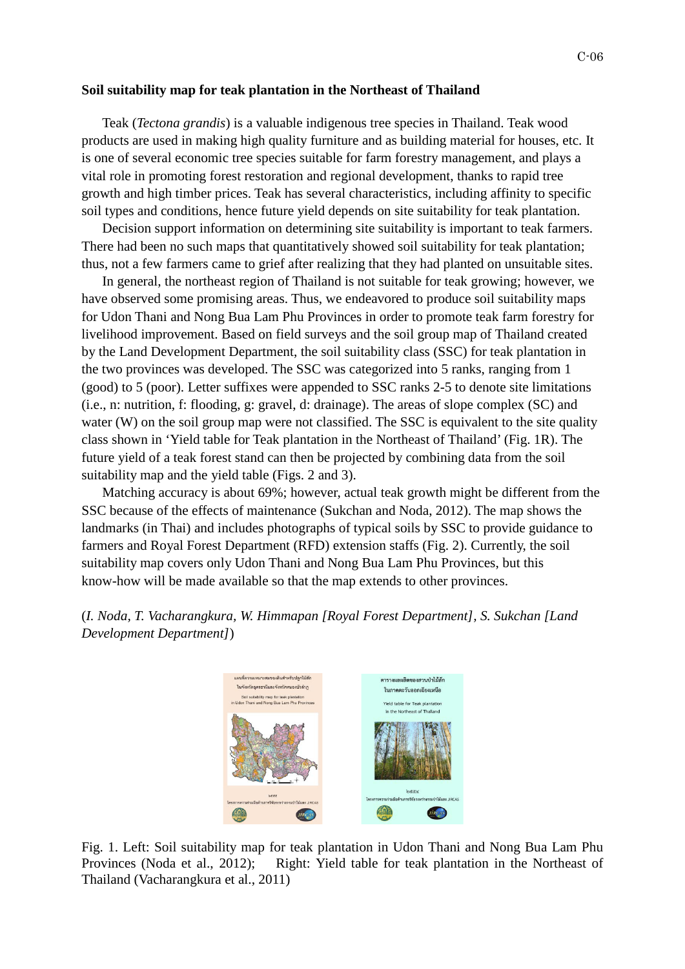## **Soil suitability map for teak plantation in the Northeast of Thailand**

Teak (*Tectona grandis*) is a valuable indigenous tree species in Thailand. Teak wood products are used in making high quality furniture and as building material for houses, etc. It is one of several economic tree species suitable for farm forestry management, and plays a vital role in promoting forest restoration and regional development, thanks to rapid tree growth and high timber prices. Teak has several characteristics, including affinity to specific soil types and conditions, hence future yield depends on site suitability for teak plantation.

Decision support information on determining site suitability is important to teak farmers. There had been no such maps that quantitatively showed soil suitability for teak plantation; thus, not a few farmers came to grief after realizing that they had planted on unsuitable sites.

In general, the northeast region of Thailand is not suitable for teak growing; however, we have observed some promising areas. Thus, we endeavored to produce soil suitability maps for Udon Thani and Nong Bua Lam Phu Provinces in order to promote teak farm forestry for livelihood improvement. Based on field surveys and the soil group map of Thailand created by the Land Development Department, the soil suitability class (SSC) for teak plantation in the two provinces was developed. The SSC was categorized into 5 ranks, ranging from 1 (good) to 5 (poor). Letter suffixes were appended to SSC ranks 2-5 to denote site limitations (i.e., n: nutrition, f: flooding, g: gravel, d: drainage). The areas of slope complex (SC) and water (W) on the soil group map were not classified. The SSC is equivalent to the site quality class shown in 'Yield table for Teak plantation in the Northeast of Thailand' (Fig. 1R). The future yield of a teak forest stand can then be projected by combining data from the soil suitability map and the yield table (Figs. 2 and 3).

Matching accuracy is about 69%; however, actual teak growth might be different from the SSC because of the effects of maintenance (Sukchan and Noda, 2012). The map shows the landmarks (in Thai) and includes photographs of typical soils by SSC to provide guidance to farmers and Royal Forest Department (RFD) extension staffs (Fig. 2). Currently, the soil suitability map covers only Udon Thani and Nong Bua Lam Phu Provinces, but this know-how will be made available so that the map extends to other provinces.

(*I. Noda, T. Vacharangkura, W. Himmapan [Royal Forest Department], S. Sukchan [Land Development Department]*)



Fig. 1. Left: Soil suitability map for teak plantation in Udon Thani and Nong Bua Lam Phu Provinces (Noda et al., 2012); Right: Yield table for teak plantation in the Northeast of Thailand (Vacharangkura et al., 2011)